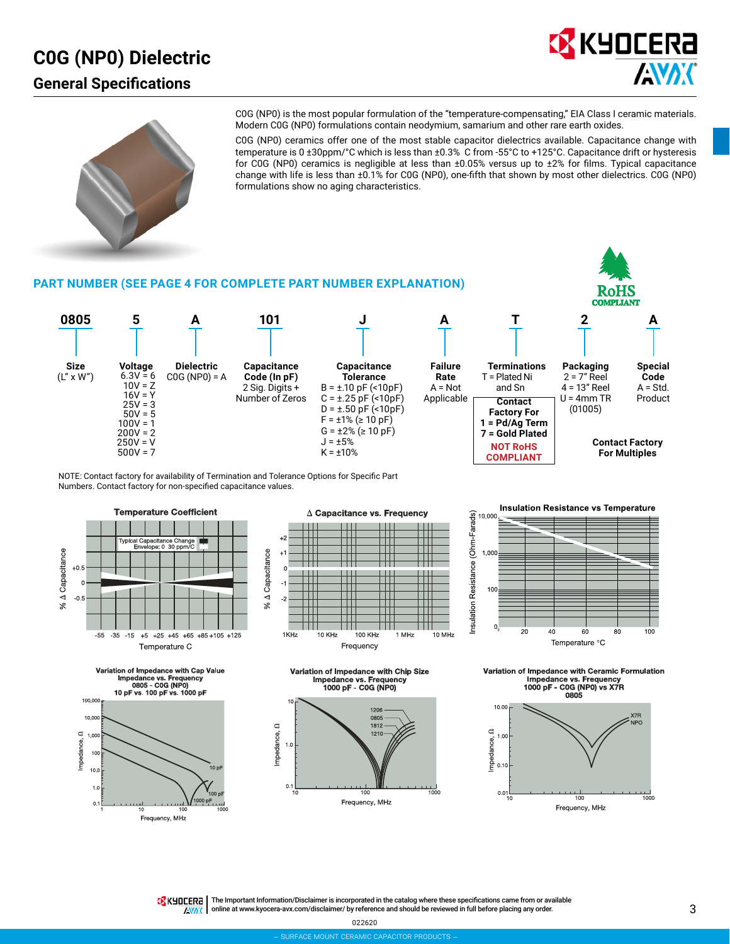## **C0G (NP0) Dielectric General Specifications**



**koHS** 



C0G (NP0) is the most popular formulation of the "temperature-compensating," EIA Class I ceramic materials. Modern C0G (NP0) formulations contain neodymium, samarium and other rare earth oxides.

C0G (NP0) ceramics offer one of the most stable capacitor dielectrics available. Capacitance change with temperature is 0 ±30ppm/°C which is less than ±0.3% C from -55°C to +125°C. Capacitance drift or hysteresis for C0G (NP0) ceramics is negligible at less than ±0.05% versus up to ±2% for films. Typical capacitance change with life is less than ±0.1% for C0G (NP0), one-fifth that shown by most other dielectrics. C0G (NP0) formulations show no aging characteristics.

#### **PART NUMBER (SEE PAGE 4 FOR COMPLETE PART NUMBER EXPLANATION)**



NOTE: Contact factory for availability of Termination and Tolerance Options for Specific Part Numbers. Contact factory for non-specified capacitance values.













**Insulation Resistance vs Temperature** 

10.000



Variation of Impedance with Ceramic Formulation  $s.$  Fre ance vs. Frequency<br>- C0G (NP0) vs X7R<br>- C0GC 1000 pF



TRK HILLERA | The Important Information/Disclaimer is incorporated in the catalog where these specifications came from or available online at [www.kyocera-avx.com/disclaimer/](http://www.kyocera-avx.com/disclaimer/) by reference and should be reviewed in full before placing any order.**ENAX**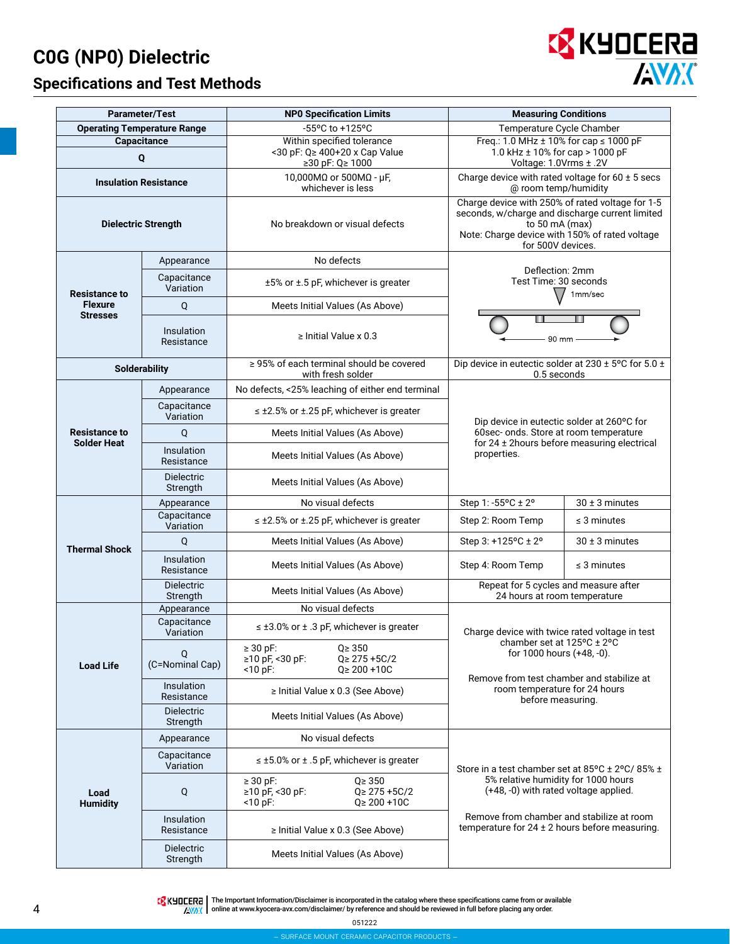# **C0G (NP0) Dielectric**

## **Specifications and Test Methods**



|                                            | <b>Parameter/Test</b>              | <b>NPO Specification Limits</b>                                                                            | <b>Measuring Conditions</b>                                                                                                                                                                  |                                             |  |  |  |  |  |
|--------------------------------------------|------------------------------------|------------------------------------------------------------------------------------------------------------|----------------------------------------------------------------------------------------------------------------------------------------------------------------------------------------------|---------------------------------------------|--|--|--|--|--|
|                                            | <b>Operating Temperature Range</b> | -55°C to +125°C                                                                                            | Temperature Cycle Chamber                                                                                                                                                                    |                                             |  |  |  |  |  |
|                                            | Capacitance<br>Q                   | Within specified tolerance<br><30 pF: Q≥ 400+20 x Cap Value<br>≥30 pF: Q≥ 1000                             | Freq.: 1.0 MHz $\pm$ 10% for cap $\leq$ 1000 pF<br>1.0 kHz ± 10% for cap > 1000 pF<br>Voltage: 1.0Vrms ± .2V                                                                                 |                                             |  |  |  |  |  |
|                                            | <b>Insulation Resistance</b>       | 10,000MΩ or 500MΩ - μF,<br>whichever is less                                                               | Charge device with rated voltage for $60 \pm 5$ secs<br>@ room temp/humidity                                                                                                                 |                                             |  |  |  |  |  |
|                                            | <b>Dielectric Strength</b>         | No breakdown or visual defects                                                                             | Charge device with 250% of rated voltage for 1-5<br>seconds, w/charge and discharge current limited<br>to 50 mA (max)<br>Note: Charge device with 150% of rated voltage<br>for 500V devices. |                                             |  |  |  |  |  |
|                                            | Appearance                         | No defects                                                                                                 |                                                                                                                                                                                              |                                             |  |  |  |  |  |
| <b>Resistance to</b>                       | Capacitance<br>Variation           | $±5\%$ or $±.5$ pF, whichever is greater                                                                   | Deflection: 2mm<br>Test Time: 30 seconds                                                                                                                                                     | 1mm/sec                                     |  |  |  |  |  |
| <b>Flexure</b><br><b>Stresses</b>          | Q                                  | Meets Initial Values (As Above)                                                                            |                                                                                                                                                                                              |                                             |  |  |  |  |  |
|                                            | Insulation<br>Resistance           | $\ge$ Initial Value x 0.3                                                                                  | 90 mm                                                                                                                                                                                        |                                             |  |  |  |  |  |
|                                            | <b>Solderability</b>               | $\geq$ 95% of each terminal should be covered<br>with fresh solder                                         | Dip device in eutectic solder at 230 ± 5°C for 5.0 ±<br>0.5 seconds                                                                                                                          |                                             |  |  |  |  |  |
|                                            | Appearance                         | No defects, <25% leaching of either end terminal                                                           |                                                                                                                                                                                              |                                             |  |  |  |  |  |
|                                            | Capacitance<br>Variation           | $\leq$ ±2.5% or ±.25 pF, whichever is greater                                                              | Dip device in eutectic solder at 260°C for                                                                                                                                                   |                                             |  |  |  |  |  |
| <b>Resistance to</b><br><b>Solder Heat</b> | Q                                  | Meets Initial Values (As Above)                                                                            | 60sec- onds. Store at room temperature                                                                                                                                                       |                                             |  |  |  |  |  |
|                                            | Insulation<br>Resistance           | Meets Initial Values (As Above)                                                                            | properties.                                                                                                                                                                                  | for 24 ± 2hours before measuring electrical |  |  |  |  |  |
|                                            | <b>Dielectric</b><br>Strength      | Meets Initial Values (As Above)                                                                            |                                                                                                                                                                                              |                                             |  |  |  |  |  |
|                                            | Appearance                         | No visual defects                                                                                          | Step 1: -55°C ± 2°                                                                                                                                                                           | $30 \pm 3$ minutes                          |  |  |  |  |  |
|                                            | Capacitance<br>Variation           | $\leq$ ±2.5% or ±.25 pF, whichever is greater                                                              | Step 2: Room Temp                                                                                                                                                                            | $\leq$ 3 minutes                            |  |  |  |  |  |
| <b>Thermal Shock</b>                       | Q                                  | Meets Initial Values (As Above)                                                                            | Step 3: +125°C ± 2°                                                                                                                                                                          | 30 ± 3 minutes                              |  |  |  |  |  |
|                                            | Insulation<br>Resistance           | Meets Initial Values (As Above)                                                                            | Step 4: Room Temp                                                                                                                                                                            | $\leq$ 3 minutes                            |  |  |  |  |  |
|                                            | Dielectric<br>Strength             | Meets Initial Values (As Above)                                                                            | Repeat for 5 cycles and measure after<br>24 hours at room temperature                                                                                                                        |                                             |  |  |  |  |  |
|                                            | Appearance                         | No visual defects                                                                                          |                                                                                                                                                                                              |                                             |  |  |  |  |  |
|                                            | Capacitance<br>Variation           | $\leq$ ±3.0% or ± .3 pF, whichever is greater                                                              | Charge device with twice rated voltage in test                                                                                                                                               |                                             |  |  |  |  |  |
| <b>Load Life</b>                           | Q<br>(C=Nominal Cap)               | $\geq$ 30 pF:<br>$Q \ge 350$<br>≥10 pF, <30 pF:<br>$Q \geq 275 + 5C/2$<br>$<$ 10 pF:<br>$Q \ge 200 + 10C$  | chamber set at 125°C ± 2°C<br>for 1000 hours (+48, -0).<br>Remove from test chamber and stabilize at                                                                                         |                                             |  |  |  |  |  |
|                                            | Insulation<br>Resistance           | $\ge$ Initial Value x 0.3 (See Above)                                                                      | room temperature for 24 hours<br>before measuring.                                                                                                                                           |                                             |  |  |  |  |  |
|                                            | <b>Dielectric</b><br>Strength      | Meets Initial Values (As Above)                                                                            |                                                                                                                                                                                              |                                             |  |  |  |  |  |
|                                            | Appearance                         | No visual defects                                                                                          |                                                                                                                                                                                              |                                             |  |  |  |  |  |
|                                            | Capacitance<br>Variation           | $\leq \pm 5.0\%$ or $\pm$ .5 pF, whichever is greater                                                      | Store in a test chamber set at 85°C ± 2°C/85% ±                                                                                                                                              |                                             |  |  |  |  |  |
| Load<br><b>Humidity</b>                    | Q                                  | $Q \geq 350$<br>$\geq$ 30 pF:<br>≥10 pF, <30 pF:<br>$Q \geq 275 + 5C/2$<br>$<$ 10 pF:<br>$Q \ge 200 + 10C$ | 5% relative humidity for 1000 hours<br>(+48, -0) with rated voltage applied.<br>Remove from chamber and stabilize at room<br>temperature for $24 \pm 2$ hours before measuring.              |                                             |  |  |  |  |  |
|                                            | Insulation<br>Resistance           | ≥ Initial Value x 0.3 (See Above)                                                                          |                                                                                                                                                                                              |                                             |  |  |  |  |  |
|                                            | <b>Dielectric</b><br>Strength      | Meets Initial Values (As Above)                                                                            |                                                                                                                                                                                              |                                             |  |  |  |  |  |

The Important Information/Disclaimer is incorporated in the catalog where these specifications came from or available<br>online at [www.kyocera-avx.com/disclaimer/](http://www.kyocera-avx.com/disclaimer/) by reference and should be reviewed in full before placing any

051222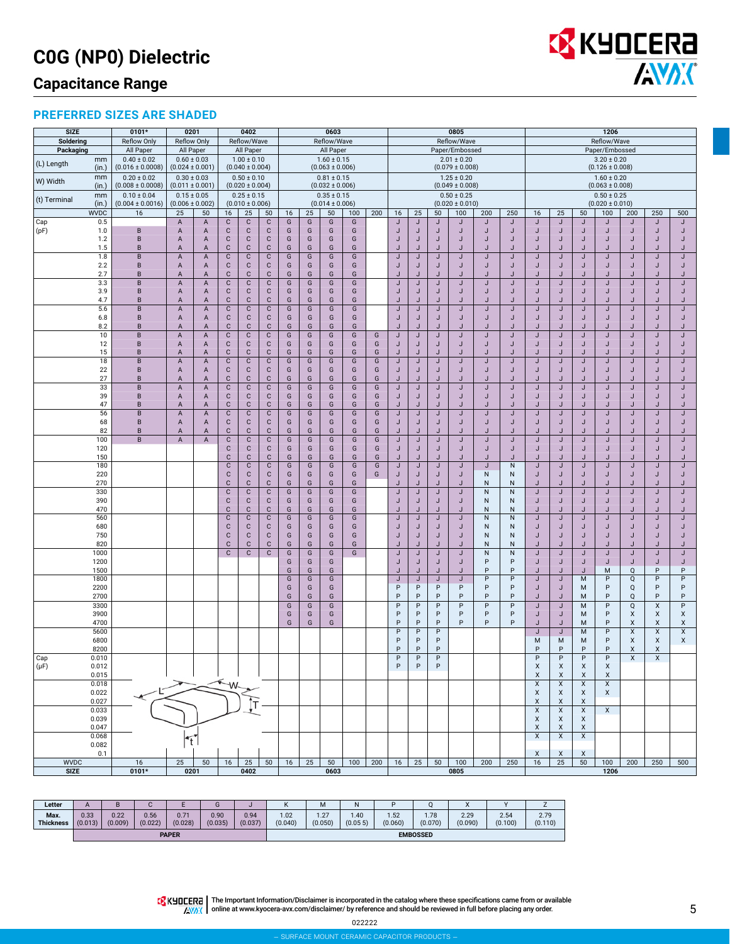# **C0G (NP0) Dielectric**

## **Capacitance Range**

#### **PREFERRED SIZES ARE SHADED**

| <b>SIZE</b>  |                      | 0101*                                   | 0201                                   |                     |                             | 0402                                   |                              |        |        | 0603                                   |                    |        |                 |         |              | 0805                                   |                   |                           | 1206                                                 |                           |                           |                                               |                  |                |                              |
|--------------|----------------------|-----------------------------------------|----------------------------------------|---------------------|-----------------------------|----------------------------------------|------------------------------|--------|--------|----------------------------------------|--------------------|--------|-----------------|---------|--------------|----------------------------------------|-------------------|---------------------------|------------------------------------------------------|---------------------------|---------------------------|-----------------------------------------------|------------------|----------------|------------------------------|
| Soldering    |                      | <b>Reflow Only</b>                      | <b>Reflow Only</b>                     |                     |                             | Reflow/Wave                            |                              |        |        | Reflow/Wave                            |                    |        |                 |         |              | Reflow/Wave                            |                   |                           | Reflow/Wave<br>Paper/Embossed                        |                           |                           |                                               |                  |                |                              |
| Packaging    | mm                   | All Paper<br>$0.40 \pm 0.02$            | All Paper<br>$0.60 \pm 0.03$           |                     |                             | All Paper<br>$1.00 \pm 0.10$           |                              |        |        | All Paper<br>$1.60 \pm 0.15$           |                    |        |                 |         |              | Paper/Embossed<br>$2.01 \pm 0.20$      |                   |                           | $3.20 \pm 0.20$                                      |                           |                           |                                               |                  |                |                              |
| (L) Length   | (in.)<br>mm          | $(0.016 \pm 0.0008)$<br>$0.20 \pm 0.02$ | $(0.024 \pm 0.001)$<br>$0.30 \pm 0.03$ |                     |                             | $(0.040 \pm 0.004)$<br>$0.50 \pm 0.10$ |                              |        |        | $(0.063 \pm 0.006)$<br>$0.81 \pm 0.15$ |                    |        |                 |         |              | $(0.079 \pm 0.008)$<br>$1.25 \pm 0.20$ |                   |                           |                                                      |                           |                           | $(0.126 \pm 0.008)$                           |                  |                |                              |
| W) Width     | (in.)                | $(0.008 \pm 0.0008)$                    | $(0.011 \pm 0.001)$                    |                     | $(0.020 \pm 0.004)$         |                                        |                              |        |        | $(0.032 \pm 0.006)$                    |                    |        |                 |         |              | $(0.049 \pm 0.008)$                    |                   |                           | $1.60 \pm 0.20$<br>$(0.063 \pm 0.008)$               |                           |                           |                                               |                  |                |                              |
| (t) Terminal | mm                   | $0.10 \pm 0.04$                         | $0.15 \pm 0.05$                        |                     |                             | $0.25 \pm 0.15$                        |                              |        |        | $0.35 \pm 0.15$                        |                    |        | $0.50 \pm 0.25$ |         |              |                                        |                   | $0.50 \pm 0.25$           |                                                      |                           |                           |                                               |                  |                |                              |
|              | (in.)<br><b>WVDC</b> | $(0.004 \pm 0.0016)$<br>16              | $(0.006 \pm 0.002)$<br>25              | 50                  | 16                          | $(0.010 \pm 0.006)$<br>25              | 50                           | 16     | 25     | $(0.014 \pm 0.006)$<br>50              | 100                | 200    | 16              | 25      | 50           | $(0.020 \pm 0.010)$<br>100             | 200               | 250                       | 16                                                   | 25                        | 50                        | $(0.020 \pm 0.010)$<br>100                    | 200              | 250            | 500                          |
| Cap          | 0.5                  |                                         | A                                      | A                   | $\mathbf C$                 | $\mathbf{C}$                           | $\mathbf{C}$                 | G      | G      | G                                      | G                  |        | J               | J       | J            | J                                      | J                 | J                         | J                                                    | J                         | J                         | J                                             | J                | J              | J                            |
| (pF)         | 1.0                  | В                                       | A                                      | A                   | $\mathbf{C}$                | $\mathbf{C}$                           | C                            | G      | G      | G                                      | G                  |        | J               | J       | J            | J                                      | J                 | J                         | J                                                    | J                         | J                         | J                                             | J                | J              | J                            |
|              | 1.2<br>1.5           | B<br>B                                  | A<br>Α                                 | A<br>A              | $\mathbf{C}$<br>$\mathbf C$ | $\mathbf{C}$<br>$\mathbf C$            | $\mathbf{C}$<br>$\mathbf{C}$ | G<br>G | G<br>G | G<br>G                                 | G<br>G             |        | J<br>J          | J<br>J  | J<br>J       | J<br>J                                 | J<br>J            | J<br>J                    | J<br>IJ                                              | J                         | J<br>J                    | J<br>J                                        | J<br>IJ          | J<br>J         | J<br>J                       |
|              | 1.8                  | $\sf{B}$                                | A                                      | $\overline{A}$      | $\mathbb C$                 | $\mathbf C$                            | $\mathbf{C}$                 | G      | G      | G                                      | G                  |        | J               | J       | J            | J                                      | J                 | J                         | J                                                    | J                         | J                         | J                                             | J                | J              | $\mathsf J$                  |
|              | 2.2                  | B                                       | Α                                      | A                   | $\mathbf{C}$                | $\mathbf{C}$                           | с                            | G      | G      | G                                      | G                  |        | J               | J       | J            | J                                      | J                 | J                         | J                                                    | J                         | J                         | J                                             | J                | J              | J                            |
|              | 2.7<br>3.3           | B<br>B                                  | Α<br>A                                 | A<br>$\overline{A}$ | $\mathsf C$<br>$\mathbf C$  | $\mathbf C$<br>$\mathbf C$             | C<br>$\mathbf C$             | G<br>G | G<br>G | G<br>G                                 | G<br>G             |        | J<br>J          | J<br>J  | J<br>J       | J<br>J                                 | J<br>J            | J<br>J                    | J<br>$\mathsf J$                                     | J<br>J                    | J<br>J                    | J<br>J                                        | J<br>J           | J<br>J         | J<br>J                       |
|              | 3.9                  | B                                       | A                                      | A                   | $\mathbf{C}$                | $\mathbf C$                            | C                            | G      | G      | G                                      | G                  |        | J               | J       | J            | J                                      | J                 | J                         | J                                                    | J                         | J                         | J                                             | J                | J              | J                            |
|              | 4.7<br>5.6           | B<br>$\,$ B                             | Α<br>$\overline{\mathsf{A}}$           | A<br>$\mathsf{A}$   | $\mathbf C$<br>$\mathbf C$  | $\mathbf{C}$<br>$\mathbf C$            | $\mathbf{C}$<br>c            | G<br>G | G<br>G | G<br>G                                 | G<br>${\mathsf G}$ |        | J<br>J          | J.<br>J | $\cdot$<br>J | IJ<br>J                                | $\mathbf{I}$<br>J | J.<br>J                   | IJ<br>J                                              | $\cdot$<br>J              | $\mathbf{J}$<br>J         | $\cdot$<br>J                                  | $\cdot$<br>J     | IJ<br>J        | $\mathbf{J}$<br>$\mathsf J$  |
|              | 6.8                  | B                                       | A                                      | $\mathsf{A}$        | $\mathbf{C}$                | C                                      | C                            | G      | G      | G                                      | G                  |        | J               | J       | J            | J                                      | J                 | IJ                        | J                                                    | $\cdot$                   | J                         | J                                             | J                | J              | IJ                           |
|              | 8.2                  | B                                       | A                                      | А                   | $\mathbf C$                 | $\mathbf C$                            | $\mathbf{C}$                 | G      | G      | G                                      | G                  |        | $\cdot$         | J       | J            | IJ                                     | $\cdot$           | J.                        | J                                                    | $\cdot$                   | J                         | J                                             | IJ               | J              | J                            |
|              | 10<br>12             | $\sf{B}$<br>B                           | A<br>Α                                 | $\overline{A}$<br>A | $\mathbf C$<br>$\mathbf{C}$ | $\mathbf{C}$<br>$\mathbf{C}$           | $\mathbf C$<br>C             | G<br>G | G<br>G | G<br>G                                 | G<br>G             | G<br>G | J<br>J          | J<br>J  | J<br>J       | J<br>J                                 | J<br>J            | J<br>J                    | J<br>J                                               | J<br>J                    | J<br>J                    | J<br>J                                        | J<br>J           | J<br>J         | $\mathsf J$<br>J             |
|              | 15                   | B                                       | Α                                      | A                   | $\mathbf{C}$                | $\mathbf{C}$                           | С                            | G      | G      | G                                      | G                  | G      | J               | J       | J            | J                                      | J                 | J                         | J                                                    | J                         | J                         | J                                             | J                | J              | J                            |
|              | 18                   | B                                       | A                                      | A                   | $\mathbf{C}$                | $\mathbf{C}$                           | $\mathbf C$                  | G      | G      | G                                      | G                  | G      | J               | J       | J            | J                                      | J                 | J                         | J                                                    | J                         | J                         | J                                             | J                | J              | J                            |
|              | 22<br>27             | B<br>B                                  | A<br>A                                 | A<br>$\overline{A}$ | $\mathbf{C}$<br>${\bf C}$   | $\mathbf{C}$<br>$\mathbf C$            | $\mathbf{C}$<br>$\mathsf{C}$ | G<br>G | G<br>G | G<br>G                                 | G<br>G             | G<br>G | J<br>J          | J<br>J  | J<br>J       | J<br>J                                 | J<br>J.           | J<br>$\cdot$              | J<br>J                                               | J<br>$\cdot$              | J<br>J                    | J<br>J                                        | J<br>J           | J<br>J         | J<br>J                       |
|              | 33                   | $\sf{B}$                                | A                                      | $\overline{A}$      | $\mathbf C$                 | $\mathbf C$                            | $\mathbf{C}$                 | G      | G      | G                                      | $\overline{G}$     | G      | J               | J       | J            | J                                      | J                 | J                         | J                                                    | J                         | J                         | J                                             | J                | J              | J                            |
|              | 39<br>47             | B<br>B                                  | Α                                      | A                   | ${\bf C}$<br>$\mathbf C$    | $\mathbf{C}$<br>$\mathbf C$            | $\mathbf C$<br>C             | G<br>G | G<br>G | G<br>G                                 | G<br>G             | G<br>G | J<br>J          | J<br>J  | J<br>J       | J<br>J                                 | J<br>J            | J<br>J                    | J<br>J                                               | J<br>$\cdot$              | J<br>J                    | J<br>J                                        | J<br>J           | J<br>J         | J<br>J                       |
|              | 56                   | B                                       | Α<br>A                                 | A<br>A              | $\mathsf C$                 | $\mathbf C$                            | С                            | G      | G      | G                                      | G                  | G      | J               | J       | J            | J                                      | J                 | J                         | $\mathsf J$                                          | J                         | J                         | J                                             | J                | J              | J                            |
|              | 68                   | B                                       | A                                      | A                   | $\mathbf{C}$                | $\mathbf C$                            | $\mathbf C$                  | G      | G      | G                                      | G                  | G      | J               | J       | J            | J                                      | J                 | J                         | J                                                    | J                         | J                         | J                                             | J                | J              | J                            |
|              | 82<br>100            | B<br>B                                  | A<br>$\mathsf A$                       | А<br>$\overline{A}$ | $\mathbf{C}$<br>$\mathsf C$ | $\mathbf{C}$<br>$\mathbf C$            | C<br>$\mathbf C$             | G<br>G | G<br>G | G<br>G                                 | G<br>G             | G<br>G | J<br>J          | J<br>J  | J<br>J       | J<br>J                                 | J<br>J            | J<br>J                    | J<br>J                                               | J<br>J                    | J<br>J                    | J<br>J                                        | ۰<br>J           | J<br>J         | J<br>$\mathsf J$             |
|              | 120                  |                                         |                                        |                     | $\mathbf{C}$                | $\mathbf{C}$                           | C                            | G      | G      | G                                      | G                  | G      | J               | J       | J            | J                                      | J                 | J                         | J                                                    | J                         | J                         | J                                             | J                | J              | IJ                           |
|              | 150                  |                                         |                                        |                     | $\mathbf C$                 | $\mathbf{C}$                           | C                            | G      | G      | G                                      | G                  | G      | J               | $\cdot$ | J            | J                                      | $\mathbf{J}$      | $\mathbf{J}$              | IJ                                                   | $\cdot$                   | J                         | $\mathbf{J}$                                  | $\cdot$          | $\cdot$        | $\mathbf{J}$<br>J            |
|              | 180<br>220           |                                         |                                        |                     | $\mathbf C$<br>$\mathbf C$  | $\mathbb{C}$<br>$\mathbf{C}$           | C<br>$\mathbf{C}$            | G<br>G | G<br>G | G<br>G                                 | ${\mathbb G}$<br>G | G<br>G | J<br>J          | J<br>J  | J<br>J       | $\sf J$<br>J                           | J<br>N            | ${\sf N}$<br>N            | J<br>J                                               | J<br>J                    | J<br>J                    | J<br>J                                        | $\mathsf J$<br>J | J<br>J         | J                            |
|              | 270                  |                                         |                                        |                     | $\mathsf{C}$                | $\mathbf{C}$                           | $\mathbf{C}$                 | G      | G      | G                                      | G                  |        | $\mathbf{J}$    | J       | .1           | J                                      | N                 | N                         | J                                                    | $\mathbf{J}$              | J                         | $\mathbf{J}$                                  | J                | J              | J                            |
|              | 330<br>390           |                                         |                                        |                     | ${\bf C}$<br>$\mathbf{C}$   | $\mathbf{C}$<br>$\mathbf{C}$           | C<br>C                       | G<br>G | G<br>G | G<br>G                                 | G<br>G             |        | J<br>J          | J<br>J  | J<br>J       | J<br>J                                 | N<br>N            | $\mathsf{N}$<br>N         | $\mathsf J$<br>J                                     | J<br>J                    | J<br>J                    | J<br>J                                        | J<br>J           | J<br>J         | J<br>J                       |
|              | 470                  |                                         |                                        |                     | C                           | $\mathbf{C}$                           | C                            | G      | G      | G                                      | G                  |        | J               | J       | J            | J                                      | ${\sf N}$         | N                         | J                                                    |                           | J                         | J                                             | J                | J              | J                            |
|              | 560                  |                                         |                                        |                     | $\mathsf C$<br>$\mathbf C$  | $\mathbf{C}$                           | $\mathbf C$                  | G      | G<br>G | G                                      | G<br>G             |        | J               | J       | J            | J<br>J                                 | ${\sf N}$         | ${\sf N}$                 | J                                                    | J<br>J                    | J                         | J                                             | J                | J              | J                            |
|              | 680<br>750           |                                         |                                        |                     | $\mathbf{C}$                | C<br>$\mathbf{C}$                      | C<br>C                       | G<br>G | G      | G<br>G                                 | G                  |        | J<br>J          | J<br>J  | J<br>J       | J                                      | N<br>${\sf N}$    | N<br>N                    | J<br>J                                               | J                         | J<br>J                    | J<br>J                                        | J<br>J           | J<br>J         | J<br>$\mathsf J$             |
|              | 820                  |                                         |                                        |                     | C                           | $\mathbf C$                            | C                            | G      | G      | G                                      | G                  |        |                 |         |              | $\cdot$                                | ${\sf N}$         | N                         | J                                                    |                           | J                         | $\cdot$                                       |                  | IJ             | $\mathbf{J}$                 |
|              | 1000<br>1200         |                                         |                                        |                     | $\mathbf C$                 | $\mathbf C$                            | $\mathbf C$                  | G<br>G | G<br>G | G<br>G                                 | G                  |        | J<br>J          | J<br>J  | J<br>J       | J<br>J                                 | ${\sf N}$<br>P    | N<br>P                    | J<br>J                                               | J<br>J                    | J<br>J                    | J<br>J                                        | J<br>J           | J<br>J         | J<br>J                       |
|              | 1500                 |                                         |                                        |                     |                             |                                        |                              | G      | G      | G                                      |                    |        | J               | J.      | J            | IJ                                     | P                 | P                         | J                                                    | $\cdot$                   | $\mathbf{J}$              | M                                             | Q                | P              | P                            |
|              | 1800                 |                                         |                                        |                     |                             |                                        |                              | G      | G      | G                                      |                    |        | J               | J       | J            | J                                      | P                 | P                         | J                                                    | J                         | M                         | P<br>P                                        | Q                | P              | $\overline{P}$               |
|              | 2200<br>2700         |                                         |                                        |                     |                             |                                        |                              | G<br>G | G<br>G | G<br>G                                 |                    |        | P<br>P          | P<br>P  | P<br>P       | P<br>P                                 | P<br>P            | P<br>P                    | J<br>J                                               | J<br>J                    | M<br>M                    | P                                             | Q<br>Q           | P<br>P         | $\mathsf{P}$<br>$\mathsf{P}$ |
|              | 3300                 |                                         |                                        |                     |                             |                                        |                              | G      | G      | G                                      |                    |        | P               | P       | P            | P                                      | P                 | P                         | J                                                    | J                         | M                         | P                                             | Q                | $\pmb{\times}$ | $\overline{P}$               |
|              | 3900<br>4700         |                                         |                                        |                     |                             |                                        |                              | G<br>G | G<br>G | G<br>G                                 |                    |        | P<br>P          | P<br>P  | P<br>P       | P<br>P                                 | P<br>P            | P<br>P                    | J<br>J                                               | J<br>IJ                   | M<br>M                    | P<br>P                                        | X<br>X           | X<br>X         | X<br>$\pmb{\mathsf{X}}$      |
|              | 5600                 |                                         |                                        |                     |                             |                                        |                              |        |        |                                        |                    |        | P               | P       | P            |                                        |                   |                           | J                                                    | J                         | M                         | P                                             | X                | X              | $\overline{\mathsf{X}}$      |
|              | 6800                 |                                         |                                        |                     |                             |                                        |                              |        |        |                                        |                    |        | P               | P       | P            |                                        |                   |                           | M                                                    | М                         | M                         | P                                             | X                | X              | X                            |
| Cap          | 8200<br>0.010        |                                         |                                        |                     |                             |                                        |                              |        |        |                                        |                    |        | P<br>P          | P<br>P  | P<br>P       |                                        |                   |                           | P<br>P                                               | P<br>P                    | P<br>P                    | P<br>P                                        | Χ<br>X           | X<br>X         |                              |
| $(\mu F)$    | 0.012                |                                         |                                        |                     |                             |                                        |                              |        |        |                                        |                    |        | P               | P       | $\sf P$      |                                        |                   |                           | X                                                    | x                         | X                         | X                                             |                  |                |                              |
|              | 0.015<br>0.018       |                                         |                                        |                     |                             |                                        |                              |        |        |                                        |                    |        |                 |         |              |                                        |                   |                           | $\boldsymbol{\mathsf{X}}$<br>$\overline{\mathsf{x}}$ | X                         | $\pmb{\times}$            | $\pmb{\mathsf{X}}$<br>$\overline{\mathsf{x}}$ |                  |                |                              |
|              | 0.022                |                                         |                                        |                     |                             |                                        |                              |        |        |                                        |                    |        |                 |         |              |                                        |                   | $\boldsymbol{\mathsf{X}}$ | $\pmb{\times}$<br>X                                  | X<br>X                    | $\boldsymbol{\mathsf{X}}$ |                                               |                  |                |                              |
|              | 0.027                |                                         |                                        |                     |                             |                                        |                              |        |        |                                        |                    |        |                 |         |              |                                        |                   | X                         | X                                                    | X                         |                           |                                               |                  |                |                              |
|              | 0.033<br>0.039       |                                         |                                        |                     |                             |                                        |                              |        |        |                                        |                    |        |                 |         |              |                                        |                   |                           | X<br>X                                               | X<br>$\mathsf{x}$         | X<br>X                    | X                                             |                  |                |                              |
|              | 0.047                |                                         |                                        |                     |                             |                                        |                              |        |        |                                        |                    |        |                 |         |              |                                        |                   |                           | X                                                    | X                         | X                         |                                               |                  |                |                              |
|              | 0.068                |                                         |                                        |                     |                             |                                        |                              |        |        |                                        |                    |        |                 |         |              |                                        |                   |                           | $\overline{\mathsf{x}}$                              | $\pmb{\times}$            | $\mathsf X$               |                                               |                  |                |                              |
|              | 0.082<br>0.1         |                                         |                                        |                     |                             |                                        |                              |        |        |                                        |                    |        |                 |         |              |                                        |                   |                           | X                                                    | $\boldsymbol{\mathsf{x}}$ | X                         |                                               |                  |                |                              |
| <b>WVDC</b>  |                      | 16                                      | 25                                     | 50                  | 16                          | 25                                     | 50                           | 16     | 25     | 50                                     | 100                | 200    | 16              | 25      | 50           | 100                                    | 200               | 250                       | 16                                                   | 25                        | 50                        | 100                                           | 200              | 250            | 500                          |
| <b>SIZE</b>  |                      | 0101*                                   | 0201                                   |                     |                             | 0402                                   |                              |        |        | 0603                                   |                    |        |                 |         |              | 0805                                   |                   |                           |                                                      |                           |                           | 1206                                          |                  |                |                              |

| Letter                   |                 |                 | $\cdot$         |                          |                 |                 | r.             | M                      | IN              |                 |                 | $\cdots$        |                 |                 |  |  |
|--------------------------|-----------------|-----------------|-----------------|--------------------------|-----------------|-----------------|----------------|------------------------|-----------------|-----------------|-----------------|-----------------|-----------------|-----------------|--|--|
| Max.<br><b>Thickness</b> | 0.33<br>(0.013) | 0.22<br>(0.009) | 0.56<br>(0.022) | $0.7^{\circ}$<br>(0.028) | 0.90<br>(0.035) | 0.94<br>(0.037) | .02<br>(0.040) | 127<br>$-4$<br>(0.050) | 1.40<br>(0.055) | 1.52<br>(0.060) | 1.78<br>(0.070) | 2.29<br>(0.090) | 2.54<br>(0.100) | 2.79<br>(0.110) |  |  |
|                          | <b>PAPER</b>    |                 |                 |                          |                 |                 |                | <b>EMBOSSED</b>        |                 |                 |                 |                 |                 |                 |  |  |

The Important Information/Disclaimer is incorporated in the catalog where these specifications came from or available<br>online at [www.kyocera-avx.com/disclaimer/](http://www.kyocera-avx.com/disclaimer/) by reference and should be reviewed in full before placing any

022222

EX KYOCERA